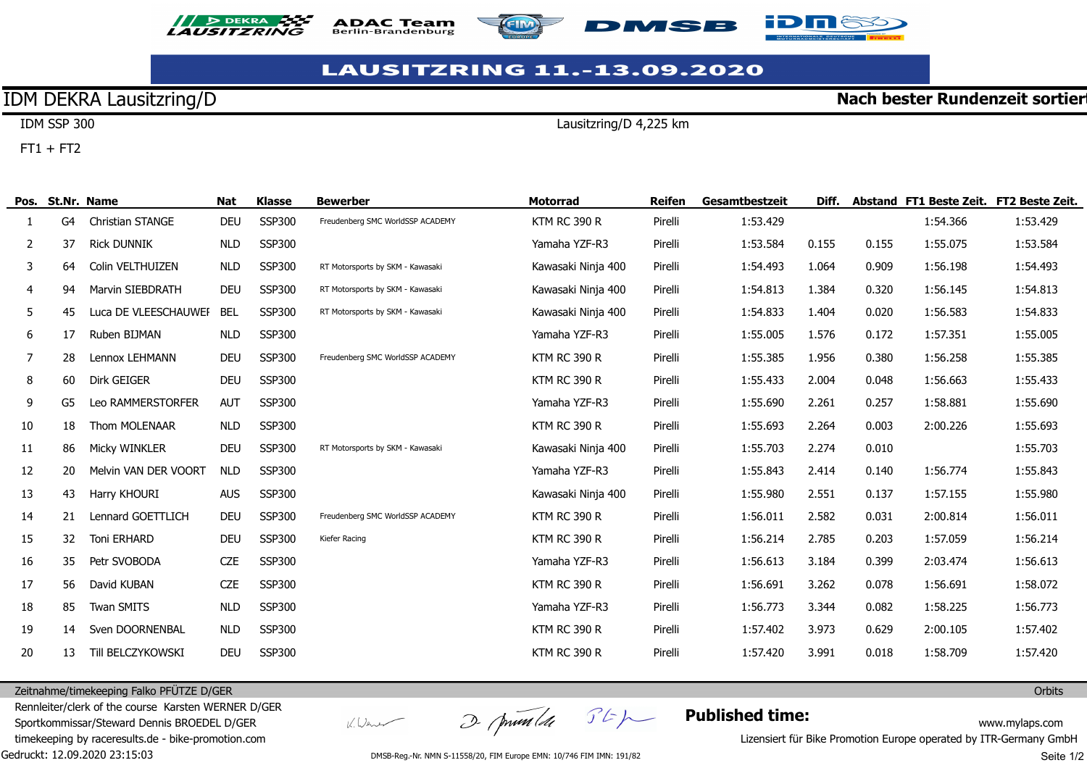







## **LAUSITZRING 11.-13.09.2020**

## IDM DEKRA Lausitzring/D

**Nach bester Rundenzeit sortier** 

IDM SSP 300  $FT1 + FT2$ 

Lausitzring/D 4,225 km

|    | Pos. St.Nr. Name |                         | Nat        | <b>Klasse</b> | <b>Bewerber</b>                  | <b>Motorrad</b>     | Reifen  | Gesamtbestzeit | Diff. |       | Abstand FT1 Beste Zeit. FT2 Beste Zeit. |          |
|----|------------------|-------------------------|------------|---------------|----------------------------------|---------------------|---------|----------------|-------|-------|-----------------------------------------|----------|
| 1. | G4               | <b>Christian STANGE</b> | <b>DEU</b> | <b>SSP300</b> | Freudenberg SMC WorldSSP ACADEMY | <b>KTM RC 390 R</b> | Pirelli | 1:53.429       |       |       | 1:54.366                                | 1:53.429 |
| 2  | 37               | <b>Rick DUNNIK</b>      | <b>NLD</b> | <b>SSP300</b> |                                  | Yamaha YZF-R3       | Pirelli | 1:53.584       | 0.155 | 0.155 | 1:55.075                                | 1:53.584 |
| 3  | 64               | Colin VELTHUIZEN        | <b>NLD</b> | <b>SSP300</b> | RT Motorsports by SKM - Kawasaki | Kawasaki Ninja 400  | Pirelli | 1:54.493       | 1.064 | 0.909 | 1:56.198                                | 1:54.493 |
| 4  | 94               | <b>Marvin SIEBDRATH</b> | <b>DEU</b> | <b>SSP300</b> | RT Motorsports by SKM - Kawasaki | Kawasaki Ninja 400  | Pirelli | 1:54.813       | 1.384 | 0.320 | 1:56.145                                | 1:54.813 |
| 5  | 45               | Luca DE VLEESCHAUWEI    | <b>BEL</b> | <b>SSP300</b> | RT Motorsports by SKM - Kawasaki | Kawasaki Ninja 400  | Pirelli | 1:54.833       | 1.404 | 0.020 | 1:56.583                                | 1:54.833 |
| 6  | 17               | Ruben BIJMAN            | <b>NLD</b> | <b>SSP300</b> |                                  | Yamaha YZF-R3       | Pirelli | 1:55.005       | 1.576 | 0.172 | 1:57.351                                | 1:55.005 |
| 7  | 28               | Lennox LEHMANN          | <b>DEU</b> | <b>SSP300</b> | Freudenberg SMC WorldSSP ACADEMY | <b>KTM RC 390 R</b> | Pirelli | 1:55.385       | 1.956 | 0.380 | 1:56.258                                | 1:55.385 |
| 8  | 60               | <b>Dirk GEIGER</b>      | <b>DEU</b> | <b>SSP300</b> |                                  | <b>KTM RC 390 R</b> | Pirelli | 1:55.433       | 2.004 | 0.048 | 1:56.663                                | 1:55.433 |
| 9  | G5               | Leo RAMMERSTORFER       | <b>AUT</b> | <b>SSP300</b> |                                  | Yamaha YZF-R3       | Pirelli | 1:55.690       | 2.261 | 0.257 | 1:58.881                                | 1:55.690 |
| 10 | 18               | <b>Thom MOLENAAR</b>    | <b>NLD</b> | <b>SSP300</b> |                                  | <b>KTM RC 390 R</b> | Pirelli | 1:55.693       | 2.264 | 0.003 | 2:00.226                                | 1:55.693 |
| 11 | 86               | Micky WINKLER           | <b>DEU</b> | <b>SSP300</b> | RT Motorsports by SKM - Kawasaki | Kawasaki Ninja 400  | Pirelli | 1:55.703       | 2.274 | 0.010 |                                         | 1:55.703 |
| 12 | 20               | Melvin VAN DER VOORT    | <b>NLD</b> | <b>SSP300</b> |                                  | Yamaha YZF-R3       | Pirelli | 1:55.843       | 2.414 | 0.140 | 1:56.774                                | 1:55.843 |
| 13 | 43               | Harry KHOURI            | <b>AUS</b> | <b>SSP300</b> |                                  | Kawasaki Ninja 400  | Pirelli | 1:55.980       | 2.551 | 0.137 | 1:57.155                                | 1:55.980 |
| 14 | 21               | Lennard GOETTLICH       | <b>DEU</b> | <b>SSP300</b> | Freudenberg SMC WorldSSP ACADEMY | <b>KTM RC 390 R</b> | Pirelli | 1:56.011       | 2.582 | 0.031 | 2:00.814                                | 1:56.011 |
| 15 | 32               | <b>Toni ERHARD</b>      | <b>DEU</b> | <b>SSP300</b> | Kiefer Racing                    | <b>KTM RC 390 R</b> | Pirelli | 1:56.214       | 2.785 | 0.203 | 1:57.059                                | 1:56.214 |
| 16 | 35               | Petr SVOBODA            | <b>CZE</b> | <b>SSP300</b> |                                  | Yamaha YZF-R3       | Pirelli | 1:56.613       | 3.184 | 0.399 | 2:03.474                                | 1:56.613 |
| 17 | 56               | David KUBAN             | <b>CZE</b> | <b>SSP300</b> |                                  | <b>KTM RC 390 R</b> | Pirelli | 1:56.691       | 3.262 | 0.078 | 1:56.691                                | 1:58.072 |
| 18 | 85               | <b>Twan SMITS</b>       | <b>NLD</b> | <b>SSP300</b> |                                  | Yamaha YZF-R3       | Pirelli | 1:56.773       | 3.344 | 0.082 | 1:58.225                                | 1:56.773 |
| 19 | 14               | Sven DOORNENBAL         | <b>NLD</b> | <b>SSP300</b> |                                  | <b>KTM RC 390 R</b> | Pirelli | 1:57.402       | 3.973 | 0.629 | 2:00.105                                | 1:57.402 |
| 20 | 13               | Till BELCZYKOWSKI       | <b>DEU</b> | <b>SSP300</b> |                                  | <b>KTM RC 390 R</b> | Pirelli | 1:57.420       | 3.991 | 0.018 | 1:58.709                                | 1:57.420 |

Zeitnahme/timekeeping Falko PFÜTZE D/GER

Gedruckt: 12.09.2020 23:15:03 Rennleiter/clerk of the course Karsten WERNER D/GER Sportkommissar/Steward Dennis BROEDEL D/GER timekeeping by raceresults.de - bike-promotion.com

V. Wener

I primalde Stp

**Published time:**

www.mylaps.com

**Orbits** 

Lizensiert für Bike Promotion Europe operated by ITR-Germany GmbH

DMSB-Reg.-Nr. NMN S-11558/20, FIM Europe EMN: 10/746 FIM IMN: 191/82